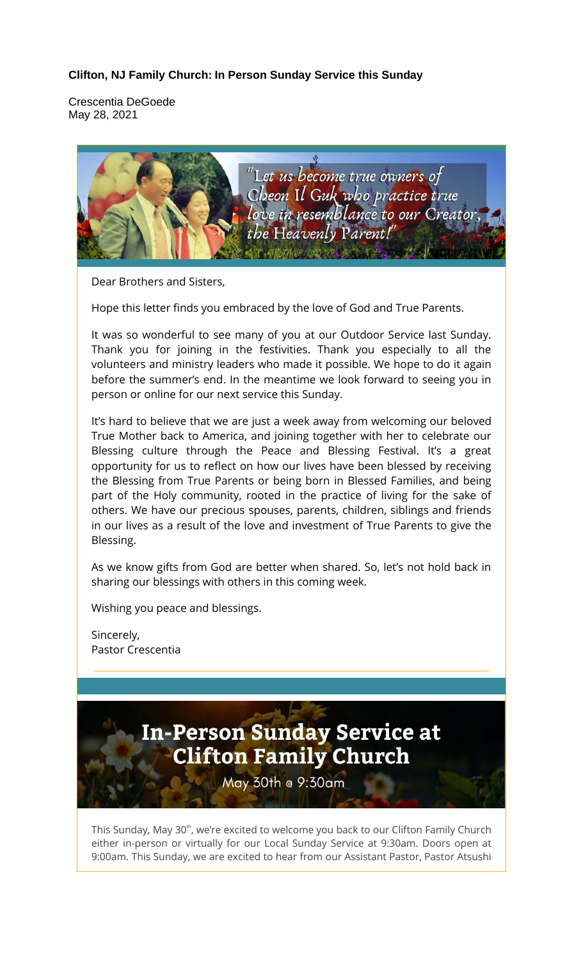## **Clifton, NJ Family Church: In Person Sunday Service this Sunday**

Crescentia DeGoede May 28, 2021



Dear Brothers and Sisters,

Hope this letter finds you embraced by the love of God and True Parents.

It was so wonderful to see many of you at our Outdoor Service last Sunday. Thank you for joining in the festivities. Thank you especially to all the volunteers and ministry leaders who made it possible. We hope to do it again before the summer's end. In the meantime we look forward to seeing you in person or online for our next service this Sunday.

It's hard to believe that we are just a week away from welcoming our beloved True Mother back to America, and joining together with her to celebrate our Blessing culture through the Peace and Blessing Festival. It's a great opportunity for us to reflect on how our lives have been blessed by receiving the Blessing from True Parents or being born in Blessed Families, and being part of the Holy community, rooted in the practice of living for the sake of others. We have our precious spouses, parents, children, siblings and friends in our lives as a result of the love and investment of True Parents to give the Blessing.

As we know gifts from God are better when shared. So, let's not hold back in sharing our blessings with others in this coming week.

Wishing you peace and blessings.

Sincerely, Pastor Crescentia



May 30th @ 9:30am

This Sunday, May 30<sup>th</sup>, we're excited to welcome you back to our Clifton Family Church either in-person or virtually for our Local Sunday Service at 9:30am. Doors open at 9:00am. This Sunday, we are excited to hear from our Assistant Pastor, Pastor Atsushi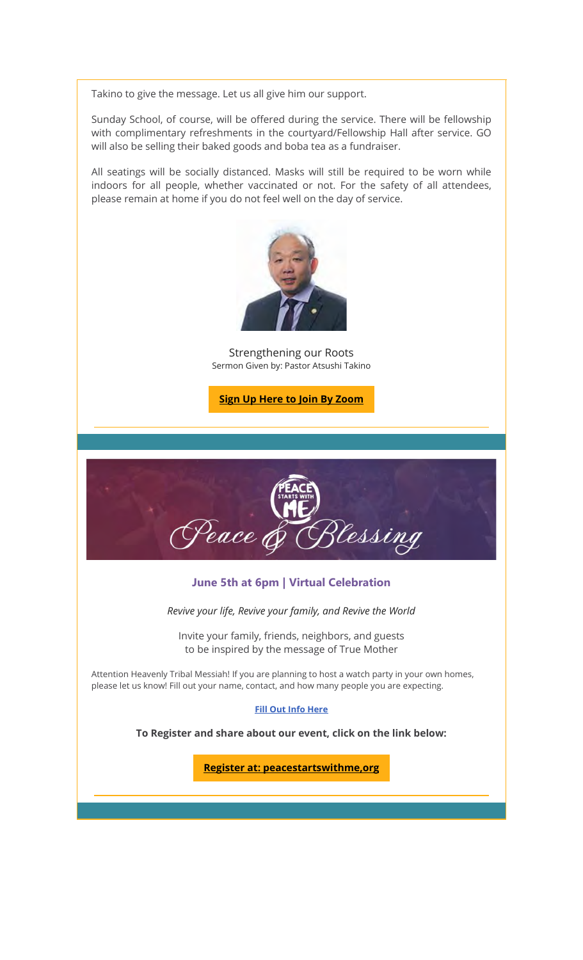Takino to give the message. Let us all give him our support.

Sunday School, of course, will be offered during the service. There will be fellowship with complimentary refreshments in the courtyard/Fellowship Hall after service. GO will also be selling their baked goods and boba tea as a fundraiser.

All seatings will be socially distanced. Masks will still be required to be worn while indoors for all people, whether vaccinated or not. For the safety of all attendees, please remain at home if you do not feel well on the day of service.



Strengthening our Roots Sermon Given by: Pastor Atsushi Takino

**Sign Up Here to Join By Zoom**



#### June 5th at 6pm | Virtual Celebration

*Revive your life, Revive your family, and Revive the World* 

Invite your family, friends, neighbors, and guests to be inspired by the message of True Mother

Attention Heavenly Tribal Messiah! If you are planning to host a watch party in your own homes, please let us know! Fill out your name, contact, and how many people you are expecting.

#### **Fill Out Info Here**

**To Register and share about our event, click on the link below:**

**Register at: peacestartswithme,org**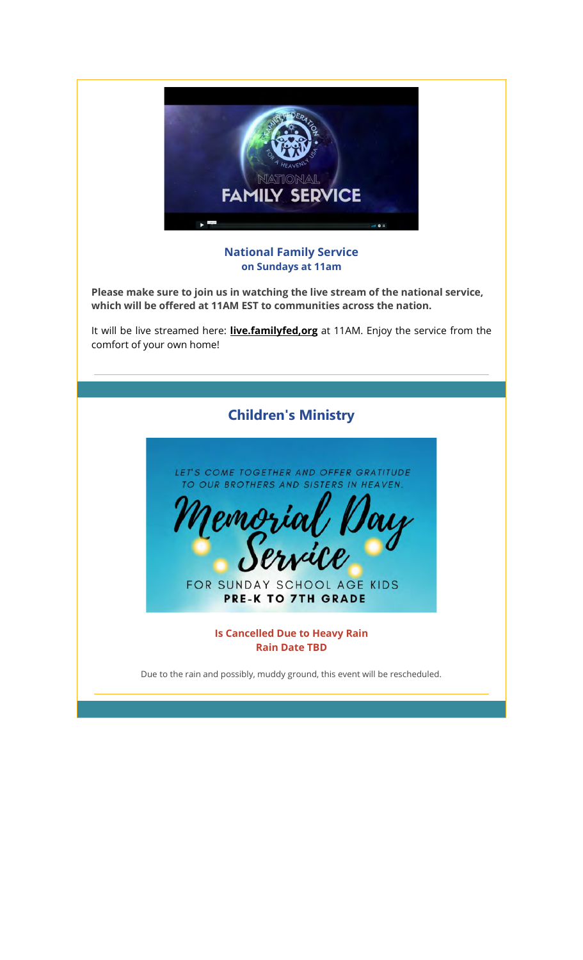

## **National Family Service on Sundays at 11am**

**Please make sure to join us in watching the live stream of the national service, which will be offered at 11AM EST to communities across the nation.**

It will be live streamed here: **live.familyfed,org** at 11AM. Enjoy the service from the comfort of your own home!

# Children's Ministry

LET'S COME TOGETHER AND OFFER GRATITUDE TO OUR BROTHERS AND SISTERS IN HEAVEN.



FOR SUNDAY SCHOOL AGE KIDS **PRE-K TO 7TH GRADE** 

> **Is Cancelled Due to Heavy Rain Rain Date TBD**

Due to the rain and possibly, muddy ground, this event will be rescheduled.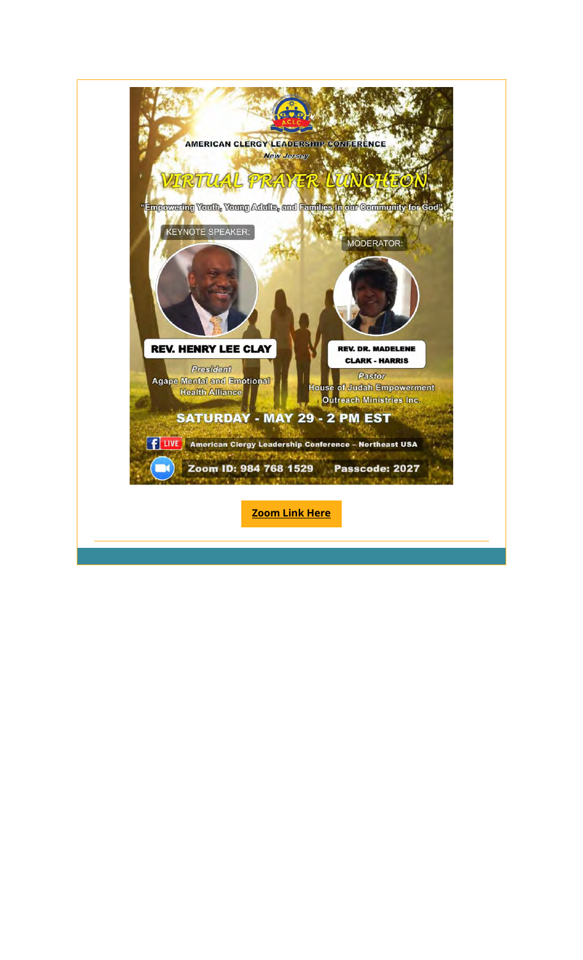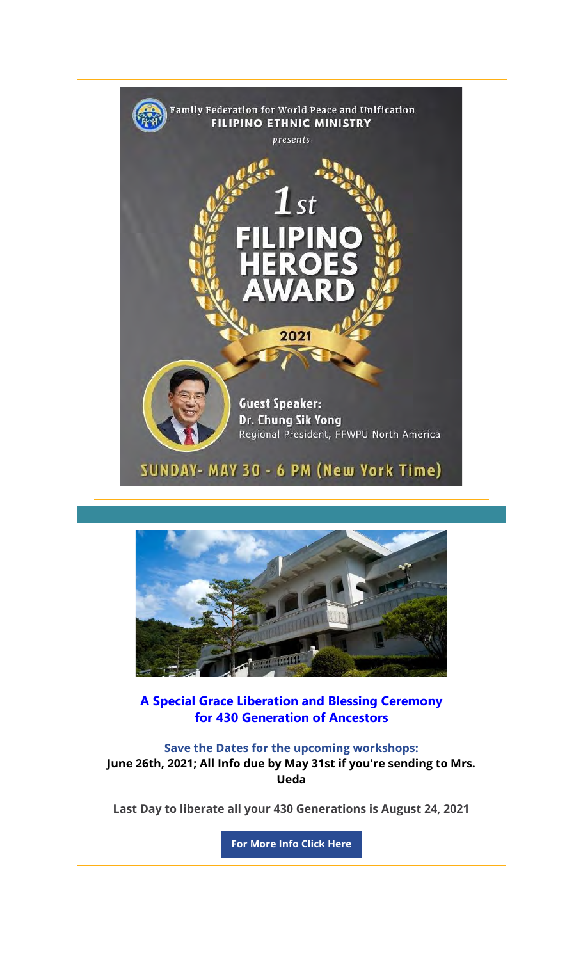



A Special Grace Liberation and Blessing Ceremony for 430 Generation of Ancestors

**Save the Dates for the upcoming workshops: June 26th, 2021; All Info due by May 31st if you're sending to Mrs. Ueda**

**Last Day to liberate all your 430 Generations is August 24, 2021**

**For More Info Click Here**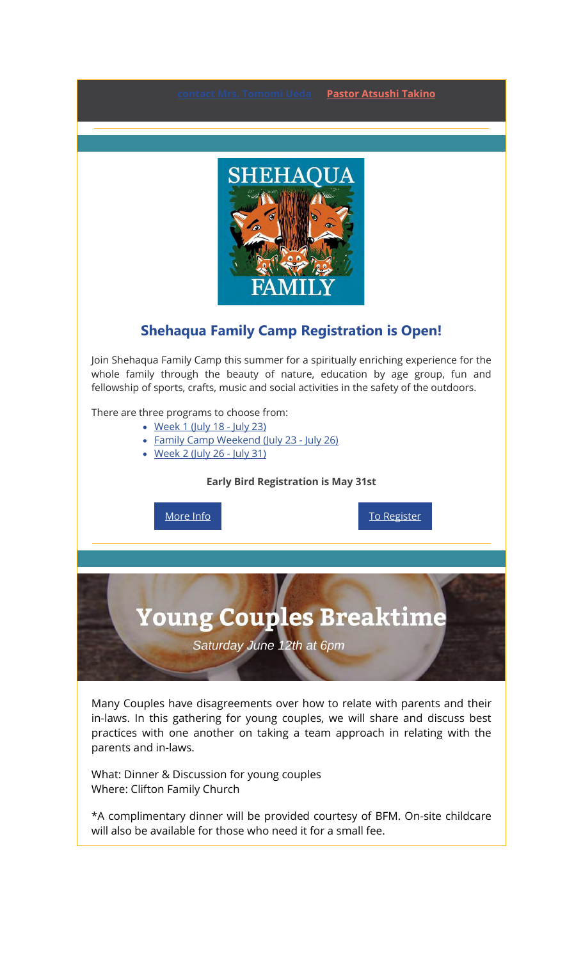**Pastor Atsushi Takino** 



## Shehaqua Family Camp Registration is Open!

Join Shehaqua Family Camp this summer for a spiritually enriching experience for the whole family through the beauty of nature, education by age group, fun and fellowship of sports, crafts, music and social activities in the safety of the outdoors.

There are three programs to choose from:

- Week 1 (July 18 July 23)
- Family Camp Weekend (July 23 July 26)
- Week 2 (July 26 July 31)

**Early Bird Registration is May 31st**

More Info **To Register** 

# **Young Couples Breaktime**

Saturday June 12th at 6pm

Many Couples have disagreements over how to relate with parents and their in-laws. In this gathering for young couples, we will share and discuss best practices with one another on taking a team approach in relating with the parents and in-laws.

What: Dinner & Discussion for young couples Where: Clifton Family Church

\*A complimentary dinner will be provided courtesy of BFM. On-site childcare will also be available for those who need it for a small fee.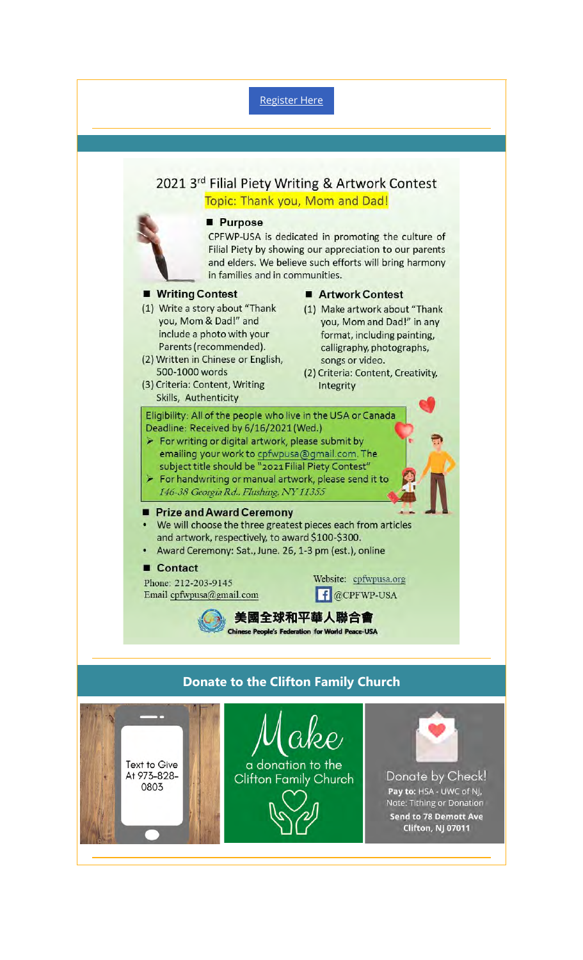## Register Here



## Donate to the Clifton Family Church